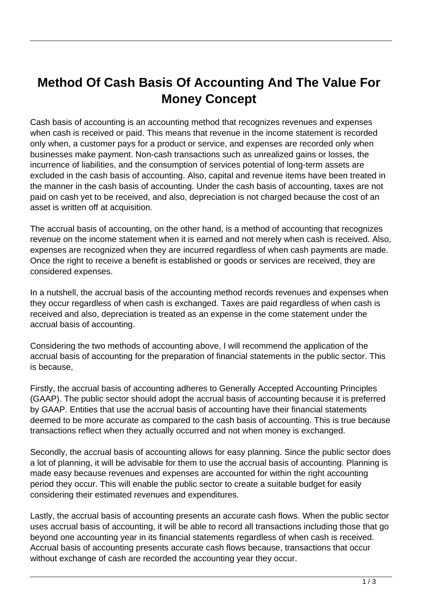## **Method Of Cash Basis Of Accounting And The Value For Money Concept**

Cash basis of accounting is an accounting method that recognizes revenues and expenses when cash is received or paid. This means that revenue in the income statement is recorded only when, a customer pays for a product or service, and expenses are recorded only when businesses make payment. Non-cash transactions such as unrealized gains or losses, the incurrence of liabilities, and the consumption of services potential of long-term assets are excluded in the cash basis of accounting. Also, capital and revenue items have been treated in the manner in the cash basis of accounting. Under the cash basis of accounting, taxes are not paid on cash yet to be received, and also, depreciation is not charged because the cost of an asset is written off at acquisition.

The accrual basis of accounting, on the other hand, is a method of accounting that recognizes revenue on the income statement when it is earned and not merely when cash is received. Also, expenses are recognized when they are incurred regardless of when cash payments are made. Once the right to receive a benefit is established or goods or services are received, they are considered expenses.

In a nutshell, the accrual basis of the accounting method records revenues and expenses when they occur regardless of when cash is exchanged. Taxes are paid regardless of when cash is received and also, depreciation is treated as an expense in the come statement under the accrual basis of accounting.

Considering the two methods of accounting above, I will recommend the application of the accrual basis of accounting for the preparation of financial statements in the public sector. This is because,

Firstly, the accrual basis of accounting adheres to Generally Accepted Accounting Principles (GAAP). The public sector should adopt the accrual basis of accounting because it is preferred by GAAP. Entities that use the accrual basis of accounting have their financial statements deemed to be more accurate as compared to the cash basis of accounting. This is true because transactions reflect when they actually occurred and not when money is exchanged.

Secondly, the accrual basis of accounting allows for easy planning. Since the public sector does a lot of planning, it will be advisable for them to use the accrual basis of accounting. Planning is made easy because revenues and expenses are accounted for within the right accounting period they occur. This will enable the public sector to create a suitable budget for easily considering their estimated revenues and expenditures.

Lastly, the accrual basis of accounting presents an accurate cash flows. When the public sector uses accrual basis of accounting, it will be able to record all transactions including those that go beyond one accounting year in its financial statements regardless of when cash is received. Accrual basis of accounting presents accurate cash flows because, transactions that occur without exchange of cash are recorded the accounting year they occur.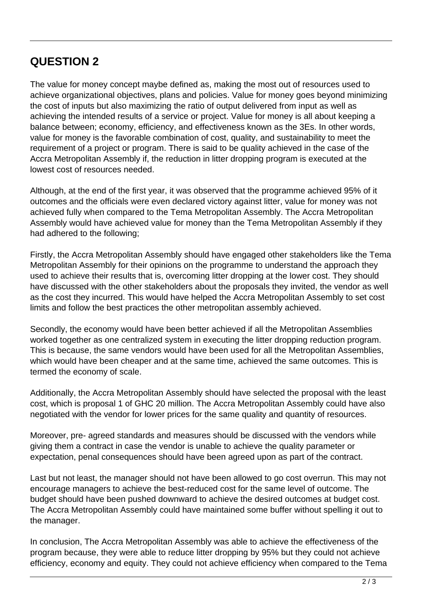## **QUESTION 2**

The value for money concept maybe defined as, making the most out of resources used to achieve organizational objectives, plans and policies. Value for money goes beyond minimizing the cost of inputs but also maximizing the ratio of output delivered from input as well as achieving the intended results of a service or project. Value for money is all about keeping a balance between; economy, efficiency, and effectiveness known as the 3Es. In other words, value for money is the favorable combination of cost, quality, and sustainability to meet the requirement of a project or program. There is said to be quality achieved in the case of the Accra Metropolitan Assembly if, the reduction in litter dropping program is executed at the lowest cost of resources needed.

Although, at the end of the first year, it was observed that the programme achieved 95% of it outcomes and the officials were even declared victory against litter, value for money was not achieved fully when compared to the Tema Metropolitan Assembly. The Accra Metropolitan Assembly would have achieved value for money than the Tema Metropolitan Assembly if they had adhered to the following;

Firstly, the Accra Metropolitan Assembly should have engaged other stakeholders like the Tema Metropolitan Assembly for their opinions on the programme to understand the approach they used to achieve their results that is, overcoming litter dropping at the lower cost. They should have discussed with the other stakeholders about the proposals they invited, the vendor as well as the cost they incurred. This would have helped the Accra Metropolitan Assembly to set cost limits and follow the best practices the other metropolitan assembly achieved.

Secondly, the economy would have been better achieved if all the Metropolitan Assemblies worked together as one centralized system in executing the litter dropping reduction program. This is because, the same vendors would have been used for all the Metropolitan Assemblies, which would have been cheaper and at the same time, achieved the same outcomes. This is termed the economy of scale.

Additionally, the Accra Metropolitan Assembly should have selected the proposal with the least cost, which is proposal 1 of GHC 20 million. The Accra Metropolitan Assembly could have also negotiated with the vendor for lower prices for the same quality and quantity of resources.

Moreover, pre- agreed standards and measures should be discussed with the vendors while giving them a contract in case the vendor is unable to achieve the quality parameter or expectation, penal consequences should have been agreed upon as part of the contract.

Last but not least, the manager should not have been allowed to go cost overrun. This may not encourage managers to achieve the best-reduced cost for the same level of outcome. The budget should have been pushed downward to achieve the desired outcomes at budget cost. The Accra Metropolitan Assembly could have maintained some buffer without spelling it out to the manager.

In conclusion, The Accra Metropolitan Assembly was able to achieve the effectiveness of the program because, they were able to reduce litter dropping by 95% but they could not achieve efficiency, economy and equity. They could not achieve efficiency when compared to the Tema